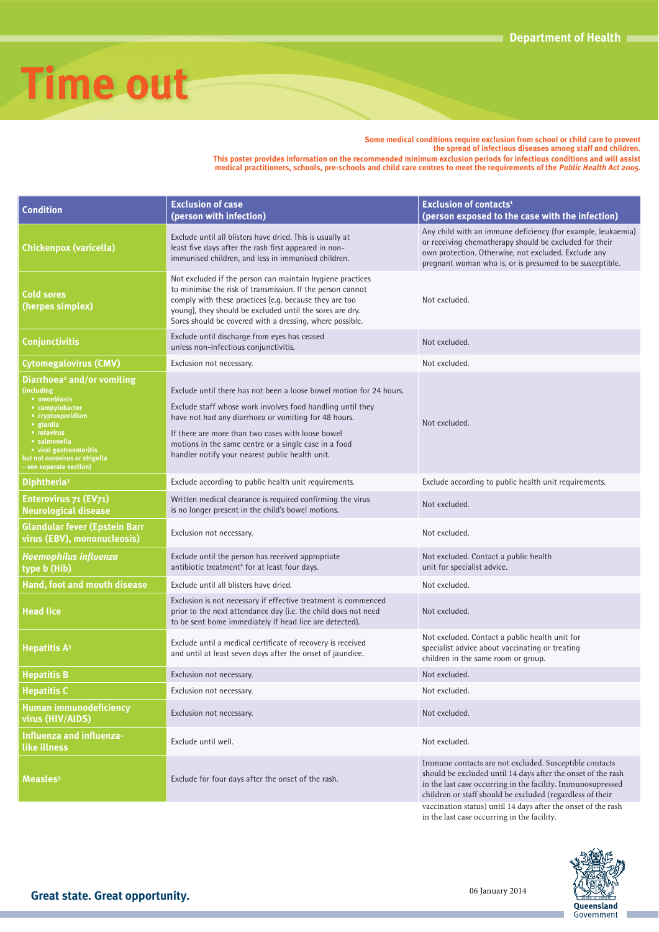

**Some medical conditions require exclusion from school or child care to prevent the spread of infectious diseases among staff and children. This poster provides information on the recommended minimum exclusion periods for infectious conditions and will assist medical practitioners, schools, pre-schools and child care centres to meet the requirements of the Public Health Act 2005.**

**Condition Exclusion of case (person with infection) Exclusion of contacts<sup>1</sup> (person exposed to the case with the infection)** Exclude until all blisters have dried. This is usually at Any child with an immune deficiency (for example, leukaemia)

| Chickenpox (varicella)                                                                                                                                                                                                                          | Exclude until all blisters have dried. This is usually at<br>least five days after the rash first appeared in non-<br>immunised children, and less in immunised children.                                                                                                                                                                                  | or receiving chemotherapy should be excluded for their<br>own protection. Otherwise, not excluded. Exclude any<br>pregnant woman who is, or is presumed to be susceptible.                                                                         |
|-------------------------------------------------------------------------------------------------------------------------------------------------------------------------------------------------------------------------------------------------|------------------------------------------------------------------------------------------------------------------------------------------------------------------------------------------------------------------------------------------------------------------------------------------------------------------------------------------------------------|----------------------------------------------------------------------------------------------------------------------------------------------------------------------------------------------------------------------------------------------------|
| <b>Cold sores</b><br>(herpes simplex)                                                                                                                                                                                                           | Not excluded if the person can maintain hygiene practices<br>to minimise the risk of transmission. If the person cannot<br>comply with these practices (e.g. because they are too<br>young), they should be excluded until the sores are dry.<br>Sores should be covered with a dressing, where possible.                                                  | Not excluded.                                                                                                                                                                                                                                      |
| <b>Conjunctivitis</b>                                                                                                                                                                                                                           | Exclude until discharge from eyes has ceased<br>unless non-infectious conjunctivitis.                                                                                                                                                                                                                                                                      | Not excluded.                                                                                                                                                                                                                                      |
| Cytomegalovirus (CMV)                                                                                                                                                                                                                           | Exclusion not necessary.                                                                                                                                                                                                                                                                                                                                   | Not excluded.                                                                                                                                                                                                                                      |
| Diarrhoea <sup>2</sup> and/or vomiting<br>(including<br>• amoebiasis<br>• campylobacter<br>• cryptosporidium<br>· giardia<br>• rotavirus<br>• salmonella<br>• viral gastroenteritis<br>but not norovirus or shigella<br>- see separate section) | Exclude until there has not been a loose bowel motion for 24 hours.<br>Exclude staff whose work involves food handling until they<br>have not had any diarrhoea or vomiting for 48 hours.<br>If there are more than two cases with loose bowel<br>motions in the same centre or a single case in a food<br>handler notify your nearest public health unit. | Not excluded.                                                                                                                                                                                                                                      |
| Diphtheria <sup>3</sup>                                                                                                                                                                                                                         | Exclude according to public health unit requirements.                                                                                                                                                                                                                                                                                                      | Exclude according to public health unit requirements.                                                                                                                                                                                              |
| Enterovirus 71 (EV71)<br><b>Neurological disease</b>                                                                                                                                                                                            | Written medical clearance is required confirming the virus<br>is no longer present in the child's bowel motions.                                                                                                                                                                                                                                           | Not excluded.                                                                                                                                                                                                                                      |
| <b>Glandular fever (Epstein Barr</b><br>virus (EBV), mononucleosis)                                                                                                                                                                             | Exclusion not necessary.                                                                                                                                                                                                                                                                                                                                   | Not excluded.                                                                                                                                                                                                                                      |
| <b>Haemophilus influenza</b><br>type b (Hib)                                                                                                                                                                                                    | Exclude until the person has received appropriate<br>antibiotic treatment <sup>4</sup> for at least four days.                                                                                                                                                                                                                                             | Not excluded. Contact a public health<br>unit for specialist advice.                                                                                                                                                                               |
| Hand, foot and mouth disease                                                                                                                                                                                                                    | Exclude until all blisters have dried.                                                                                                                                                                                                                                                                                                                     | Not excluded.                                                                                                                                                                                                                                      |
| <b>Head lice</b>                                                                                                                                                                                                                                | Exclusion is not necessary if effective treatment is commenced<br>prior to the next attendance day (i.e. the child does not need<br>to be sent home immediately if head lice are detected).                                                                                                                                                                | Not excluded.                                                                                                                                                                                                                                      |
| <b>Hepatitis A<sup>3</sup></b>                                                                                                                                                                                                                  | Exclude until a medical certificate of recovery is received<br>and until at least seven days after the onset of jaundice.                                                                                                                                                                                                                                  | Not excluded. Contact a public health unit for<br>specialist advice about vaccinating or treating<br>children in the same room or group.                                                                                                           |
| <b>Hepatitis B</b>                                                                                                                                                                                                                              | Exclusion not necessary.                                                                                                                                                                                                                                                                                                                                   | Not excluded.                                                                                                                                                                                                                                      |
| <b>Hepatitis C</b>                                                                                                                                                                                                                              | Exclusion not necessary.                                                                                                                                                                                                                                                                                                                                   | Not excluded.                                                                                                                                                                                                                                      |
| Human immunodeficiency<br>virus (HIV/AIDS)                                                                                                                                                                                                      | Exclusion not necessary.                                                                                                                                                                                                                                                                                                                                   | Not excluded.                                                                                                                                                                                                                                      |
| Influenza and influenza-<br>like illness                                                                                                                                                                                                        | Exclude until well.                                                                                                                                                                                                                                                                                                                                        | Not excluded.                                                                                                                                                                                                                                      |
| Measles <sup>3</sup>                                                                                                                                                                                                                            | Exclude for four days after the onset of the rash.                                                                                                                                                                                                                                                                                                         | Immune contacts are not excluded. Susceptible contacts<br>should be excluded until 14 days after the onset of the rash<br>in the last case occurring in the facility. Immunosupressed<br>children or staff should be excluded (regardless of their |
|                                                                                                                                                                                                                                                 |                                                                                                                                                                                                                                                                                                                                                            | vaccination status) until 14 days after the onset of the rash<br>in the last case occurring in the facility.                                                                                                                                       |



Government